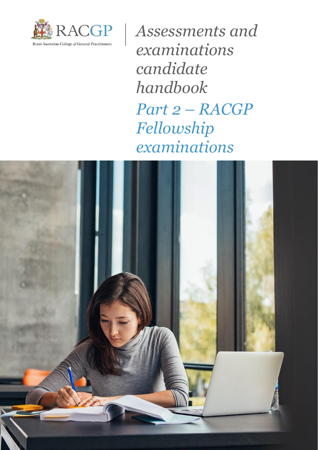

*Assessments and examinations candidate handbook Part 2 – RACGP Fellowship examinations*

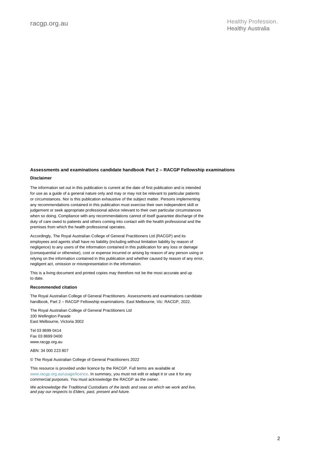### **Assessments and examinations candidate handbook Part 2 – RACGP Fellowship examinations Disclaimer**

The information set out in this publication is current at the date of first publication and is intended for use as a guide of a general nature only and may or may not be relevant to particular patients or circumstances. Nor is this publication exhaustive of the subject matter. Persons implementing any recommendations contained in this publication must exercise their own independent skill or judgement or seek appropriate professional advice relevant to their own particular circumstances when so doing. Compliance with any recommendations cannot of itself guarantee discharge of the duty of care owed to patients and others coming into contact with the health professional and the premises from which the health professional operates.

Accordingly, The Royal Australian College of General Practitioners Ltd (RACGP) and its employees and agents shall have no liability (including without limitation liability by reason of negligence) to any users of the information contained in this publication for any loss or damage (consequential or otherwise), cost or expense incurred or arising by reason of any person using or relying on the information contained in this publication and whether caused by reason of any error, negligent act, omission or misrepresentation in the information.

This is a living document and printed copies may therefore not be the most accurate and up to date.

#### **Recommended citation**

The Royal Australian College of General Practitioners. Assessments and examinations candidate handbook, Part 2 – RACGP Fellowship examinations. East Melbourne, Vic: RACGP, 2022.

The Royal Australian College of General Practitioners Ltd 100 Wellington Parade East Melbourne, Victoria 3002

Tel 03 8699 0414 Fax 03 8699 0400 www.racgp.org.au

ABN: 34 000 223 807

© The Royal Australian College of General Practitioners 2022

This resource is provided under licence by the RACGP. Full terms are available at www.racgp.org.au/usage/licence. In summary, you must not edit or adapt it or use it for any commercial purposes. You must acknowledge the RACGP as the owner.

*We acknowledge the Traditional Custodians of the lands and seas on which we work and live, and pay our respects to Elders, past, present and future.*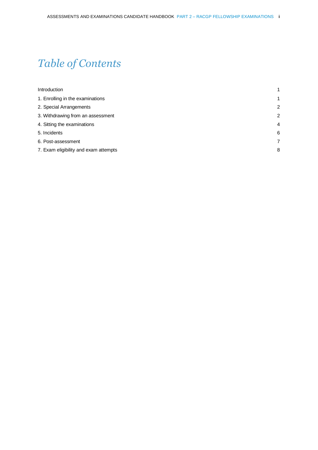# *Table of Contents*

| Introduction                          | 1              |
|---------------------------------------|----------------|
| 1. Enrolling in the examinations      | 1              |
| 2. Special Arrangements               | $\overline{2}$ |
| 3. Withdrawing from an assessment     | $\overline{2}$ |
| 4. Sitting the examinations           | $\overline{4}$ |
| 5. Incidents                          | 6              |
| 6. Post-assessment                    | 7              |
| 7. Exam eligibility and exam attempts | 8              |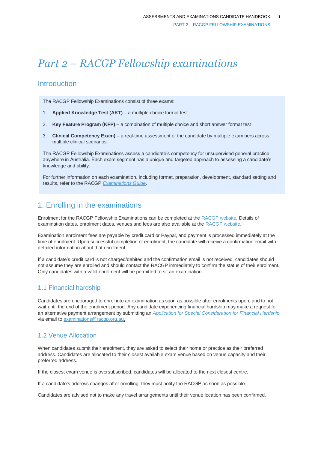# *Part 2 – RACGP Fellowship examinations*

# <span id="page-4-0"></span>**Introduction**

The RACGP Fellowship Examinations consist of three exams:

- 1. **Applied Knowledge Test (AKT)** a multiple choice format test
- 2. **Key Feature Program (KFP)**  a combination of multiple choice and short answer format test
- 3. **Clinical Competency Exam)** a real-time assessment of the candidate by multiple examiners across multiple clinical scenarios.

The RACGP Fellowship Examinations assess a candidate's competency for unsupervised general practice anywhere in Australia. Each exam segment has a unique and targeted approach to assessing a candidate's knowledge and ability.

For further information on each examination, including format, preparation, development, standard setting and results, refer to the RACGP *[Examinations Guide](https://www.racgp.org.au/education/registrars/fracgp-exams/exam-support-program-resources/examination-guide)*.

# <span id="page-4-1"></span>1. Enrolling in the examinations

Enrolment for the RACGP Fellowship Examinations can be completed at the [RACGP website.](https://www.racgp.org.au/education/registrars/fracgp-exams/exam-enrolment-instructions) Details of examination dates, enrolment dates, venues and fees are also available at the [RACGP website.](https://www.racgp.org.au/education/registrars/fracgp-exams/exam-enrolment-instructions)

Examination enrolment fees are payable by credit card or Paypal, and payment is processed immediately at the time of enrolment. Upon successful completion of enrolment, the candidate will receive a confirmation email with detailed information about that enrolment.

If a candidate's credit card is not charged/debited and the confirmation email is not received, candidates should not assume they are enrolled and should contact the RACGP immediately to confirm the status of their enrolment. Only candidates with a valid enrolment will be permitted to sit an examination.

# 1.1 Financial hardship

Candidates are encouraged to enrol into an examination as soon as possible after enrolments open, and to not wait until the end of the enrolment period. Any candidate experiencing financial hardship may make a request for an alternative payment arrangement by submitting an *[Application for Special Consideration for Financial Hardship](https://www.racgp.org.au/FSDEDEV/media/documents/Education/IMGs/PEP-Application-for-Special-Consideration.pdf)* via email to [examinations@racgp.org.au.](mailto:examinations@racgp.org.au)

# 1.2 Venue Allocation

When candidates submit their enrolment, they are asked to select their home or practice as their preferred address. Candidates are allocated to their closest available exam venue based on venue capacity and their preferred address.

If the closest exam venue is oversubscribed, candidates will be allocated to the next closest centre.

If a candidate's address changes after enrolling, they must notify the RACGP as soon as possible.

Candidates are advised not to make any travel arrangements until their venue location has been confirmed.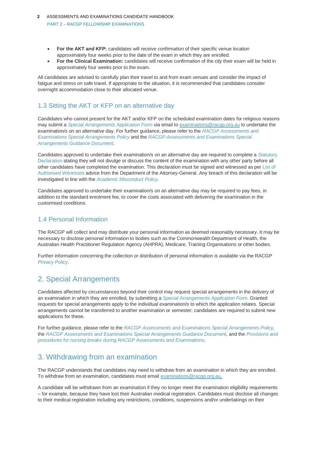- **For the AKT and KFP:** candidates will receive confirmation of their specific venue location approximately four weeks prior to the date of the exam in which they are enrolled.
- **For the Clinical Examination:** candidates will receive confirmation of the city their exam will be held in approximately four weeks prior to the exam.

All candidates are advised to carefully plan their travel to and from exam venues and consider the impact of fatigue and stress on safe travel. If appropriate to the situation, it is recommended that candidates consider overnight accommodation close to their allocated venue.

# 1.3 Sitting the AKT or KFP on an alternative day

Candidates who cannot present for the AKT and/or KFP on the scheduled examination dates for religious reasons may submit a *[Special Arrangements](https://www.racgp.org.au/FSDEDEV/media/documents/RACGP/Policies/Fellowship/Fellowship%20forms/Special-Arrangements-Application-Form.pdf) Application Form* via email to [examinations@racgp.org.au](mailto:examinations@racgp.org.au) to undertake the examination/s on an alternative day. For further guidance, please refer to the *[RACGP Assessments and](https://www.racgp.org.au/education/registrars/fellowship-pathways/policy-framework/policies/special-arrangements)  [Examinations Special Arrangements Policy](https://www.racgp.org.au/education/registrars/fellowship-pathways/policy-framework/policies/special-arrangements)* and the *[RACGP Assessments and Examinations Special](https://www.racgp.org.au/education/registrars/fellowship-pathways/policy-framework/guidance-documents/racgp-examinations-special-arrangements)  [Arrangements Guidance Document.](https://www.racgp.org.au/education/registrars/fellowship-pathways/policy-framework/guidance-documents/racgp-examinations-special-arrangements)*

Candidates approved to undertake their examination/s on an alternative day are required to complete a [Statutory](https://www.ag.gov.au/Publications/Statutory-declarations/Documents/commonwealth-statutory-declaration-form.pdf)  [Declaration](https://www.ag.gov.au/Publications/Statutory-declarations/Documents/commonwealth-statutory-declaration-form.pdf) stating they will not divulge or discuss the content of the examination with any other party before all other candidates have completed the examination*.* This declaration must be signed and witnessed as per [List of](https://www.ag.gov.au/Publications/Statutory-declarations/Pages/List-of-authorised-witnesses.aspx)  [Authorised Witnesses](https://www.ag.gov.au/Publications/Statutory-declarations/Pages/List-of-authorised-witnesses.aspx) advice from the Department of the Attorney-General. Any breach of this declaration will be investigated in line with the *[Academic Misconduct Policy.](https://www.racgp.org.au/education/registrars/fellowship-pathways/policy-framework/policies/educational-misconduct)*

Candidates approved to undertake their examination/s on an alternative day may be required to pay fees, in addition to the standard enrolment fee, to cover the costs associated with delivering the examination in the customised conditions.

## 1.4 Personal Information

The RACGP will collect and may distribute your personal information as deemed reasonably necessary. It may be necessary to disclose personal information to bodies such as the Commonwealth Department of Health, the Australian Health Practitioner Regulation Agency (AHPRA), Medicare, Training Organisations or other bodies.

Further information concerning the collection or distribution of personal information is available via the RACGP *[Privacy Policy](https://www.racgp.org.au/privacy-policy)*.

# <span id="page-5-0"></span>2. Special Arrangements

Candidates affected by circumstances beyond their control may request special arrangements in the delivery of an examination in which they are enrolled, by submitting a *[Special Arrangements Application Form](https://www.racgp.org.au/FSDEDEV/media/documents/RACGP/Policies/Fellowship/Fellowship%20forms/Special-Arrangements-Application-Form.pdf)*. Granted requests for special arrangements apply to the individual examination/s to which the application relates. Special arrangements cannot be transferred to another examination or semester; candidates are required to submit new applications for these.

For further guidance, please refer to the *[RACGP Assessments and Examinations Special Arrangements Policy,](https://www.racgp.org.au/education/registrars/fellowship-pathways/policy-framework/policies/special-arrangements)*  the *[RACGP Assessments and Examinations Special Arrangements Guidance Document,](https://www.racgp.org.au/education/registrars/fellowship-pathways/policy-framework/guidance-documents/racgp-examinations-special-arrangements)* and the *[Provisions and](https://www.racgp.org.au/education/registrars/fellowship-pathways/policy-framework/guidance-documents/provisions-and-procedures-for-nursing)  [procedures for nursing breaks during RACGP Assessments and Examinations.](https://www.racgp.org.au/education/registrars/fellowship-pathways/policy-framework/guidance-documents/provisions-and-procedures-for-nursing)*

# <span id="page-5-1"></span>3. Withdrawing from an examination

The RACGP understands that candidates may need to withdraw from an examination in which they are enrolled. To withdraw from an examination, candidates must email [examinations@racgp.org.au.](mailto:examinations@racgp.org.au)

A candidate will be withdrawn from an examination if they no longer meet the examination eligibility requirements – for example, because they have lost their Australian medical registration. Candidates must disclose all changes to their medical registration including any restrictions, conditions, suspensions and/or undertakings on their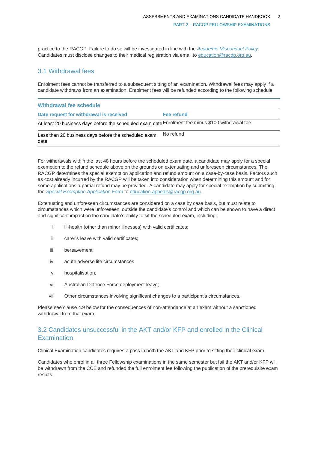practice to the RACGP. Failure to do so will be investigated in line with the *[Academic Misconduct Policy.](https://www.racgp.org.au/education/registrars/fellowship-pathways/policy-framework/policies/educational-misconduct)* Candidates must disclose changes to their medical registration via email to [education@racgp.org.au.](file:///C:/Users/Isla.Mapleson/AppData/Local/Hewlett-Packard/HP%20TRIM/TEMP/HPTRIM.21464/education@racgp.org.au)

### 3.1 Withdrawal fees

Enrolment fees cannot be transferred to a subsequent sitting of an examination. Withdrawal fees may apply if a candidate withdraws from an examination. Enrolment fees will be refunded according to the following schedule:

| Withdrawal fee schedule                                                                           |            |  |
|---------------------------------------------------------------------------------------------------|------------|--|
| Date request for withdrawal is received                                                           | Fee refund |  |
| At least 20 business days before the scheduled exam date Enrolment fee minus \$100 withdrawal fee |            |  |
| Less than 20 business days before the scheduled exam<br>date                                      | No refund  |  |

For withdrawals within the last 48 hours before the scheduled exam date, a candidate may apply for a special exemption to the refund schedule above on the grounds on extenuating and unforeseen circumstances. The RACGP determines the special exemption application and refund amount on a case-by-case basis. Factors such as cost already incurred by the RACGP will be taken into consideration when determining this amount and for some applications a partial refund may be provided. A candidate may apply for special exemption by submitting the *[Special Exemption Application Form](https://www.racgp.org.au/FSDEDEV/media/documents/RACGP/Policies/Fellowship/Fellowship%20forms/special-exemption-application-form.pdf)* to [education.appeals@racgp.org.au.](mailto:education.appeals@racgp.org.au)

Extenuating and unforeseen circumstances are considered on a case by case basis, but must relate to circumstances which were unforeseen, outside the candidate's control and which can be shown to have a direct and significant impact on the candidate's ability to sit the scheduled exam, including:

- i. ill-health (other than minor illnesses) with valid certificates;
- ii. carer's leave with valid certificates;
- iii. bereavement;
- iv. acute adverse life circumstances
- v. hospitalisation;
- vi. Australian Defence Force deployment leave;
- vii. Other circumstances involving significant changes to a participant's circumstances.

Please see clause 4.9 below for the consequences of non-attendance at an exam without a sanctioned withdrawal from that exam.

# 3.2 Candidates unsuccessful in the AKT and/or KFP and enrolled in the Clinical **Examination**

Clinical Examination candidates requires a pass in both the AKT and KFP prior to sitting their clinical exam.

Candidates who enrol in all three Fellowship examinations in the same semester but fail the AKT and/or KFP will be withdrawn from the CCE and refunded the full enrolment fee following the publication of the prerequisite exam results.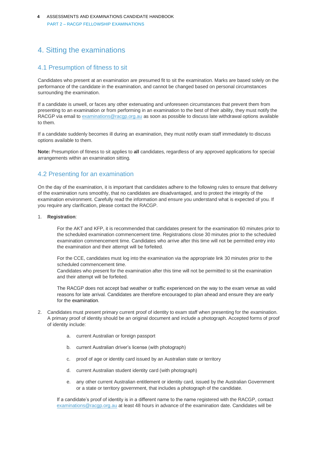# <span id="page-7-0"></span>4. Sitting the examinations

### 4.1 Presumption of fitness to sit

Candidates who present at an examination are presumed fit to sit the examination. Marks are based solely on the performance of the candidate in the examination, and cannot be changed based on personal circumstances surrounding the examination.

If a candidate is unwell, or faces any other extenuating and unforeseen circumstances that prevent them from presenting to an examination or from performing in an examination to the best of their ability, they must notify the RACGP via email to [examinations@racgp.org.au](mailto:examinations@racgp.org.au) as soon as possible to discuss late withdrawal options available to them.

If a candidate suddenly becomes ill during an examination, they must notify exam staff immediately to discuss options available to them.

**Note:** Presumption of fitness to sit applies to **all** candidates, regardless of any approved applications for special arrangements within an examination sitting.

### 4.2 Presenting for an examination

On the day of the examination, it is important that candidates adhere to the following rules to ensure that delivery of the examination runs smoothly, that no candidates are disadvantaged, and to protect the integrity of the examination environment. Carefully read the information and ensure you understand what is expected of you. If you require any clarification, please contact the RACGP.

#### 1. **Registration**:

For the AKT and KFP, it is recommended that candidates present for the examination 60 minutes prior to the scheduled examination commencement time. Registrations close 30 minutes prior to the scheduled examination commencement time. Candidates who arrive after this time will not be permitted entry into the examination and their attempt will be forfeited.

For the CCE, candidates must log into the examination via the appropriate link 30 minutes prior to the scheduled commencement time.

Candidates who present for the examination after this time will not be permitted to sit the examination and their attempt will be forfeited.

The RACGP does not accept bad weather or traffic experienced on the way to the exam venue as valid reasons for late arrival. Candidates are therefore encouraged to plan ahead and ensure they are early for the examination.

- 2. Candidates must present primary current proof of identity to exam staff when presenting for the examination. A primary proof of identity should be an original document and include a photograph. Accepted forms of proof of identity include:
	- a. current Australian or foreign passport
	- b. current Australian driver's license (with photograph)
	- c. proof of age or identity card issued by an Australian state or territory
	- d. current Australian student identity card (with photograph)
	- e. any other current Australian entitlement or identity card, issued by the Australian Government or a state or territory government, that includes a photograph of the candidate.

If a candidate's proof of identity is in a different name to the name registered with the RACGP, contact [examinations@racgp.org.au](mailto:examinations@racgp.org.au) at least 48 hours in advance of the examination date. Candidates will be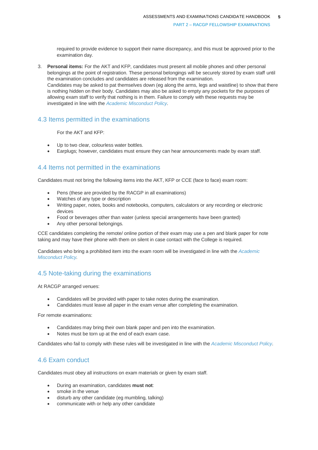required to provide evidence to support their name discrepancy, and this must be approved prior to the examination day.

3. **Personal items:** For the AKT and KFP, candidates must present all mobile phones and other personal belongings at the point of registration. These personal belongings will be securely stored by exam staff until the examination concludes and candidates are released from the examination. Candidates may be asked to pat themselves down (eg along the arms, legs and waistline) to show that there is nothing hidden on their body. Candidates may also be asked to empty any pockets for the purposes of allowing exam staff to verify that nothing is in them. Failure to comply with these requests may be investigated in line with the *[Academic Misconduct Policy.](https://www.racgp.org.au/education/registrars/fellowship-pathways/policy-framework/policies/academic-misconduct)*

### 4.3 Items permitted in the examinations

For the AKT and KFP:

- Up to two clear, colourless water bottles.
- Earplugs; however, candidates must ensure they can hear announcements made by exam staff.

### 4.4 Items not permitted in the examinations

Candidates must not bring the following items into the AKT, KFP or CCE (face to face) exam room:

- Pens (these are provided by the RACGP in all examinations)
- Watches of any type or description
- Writing paper, notes, books and notebooks, computers, calculators or any recording or electronic devices
- Food or beverages other than water (unless special arrangements have been granted)
- Any other personal belongings.

CCE candidates completing the remote/ online portion of their exam may use a pen and blank paper for note taking and may have their phone with them on silent in case contact with the College is required.

Candidates who bring a prohibited item into the exam room will be investigated in line with the *[Academic](https://www.racgp.org.au/education/registrars/fellowship-pathways/policy-framework/policies/academic-misconduct)  [Misconduct Policy.](https://www.racgp.org.au/education/registrars/fellowship-pathways/policy-framework/policies/academic-misconduct)*

# 4.5 Note-taking during the examinations

At RACGP arranged venues:

- Candidates will be provided with paper to take notes during the examination.
- Candidates must leave all paper in the exam venue after completing the examination.

For remote examinations:

- Candidates may bring their own blank paper and pen into the examination.
- Notes must be torn up at the end of each exam case.

Candidates who fail to comply with these rules will be investigated in line with the *[Academic Misconduct Policy.](https://www.racgp.org.au/education/registrars/fellowship-pathways/policy-framework/policies/academic-misconduct)*

### 4.6 Exam conduct

Candidates must obey all instructions on exam materials or given by exam staff.

- During an examination, candidates **must not**:
- smoke in the venue
- disturb any other candidate (eg mumbling, talking)
- communicate with or help any other candidate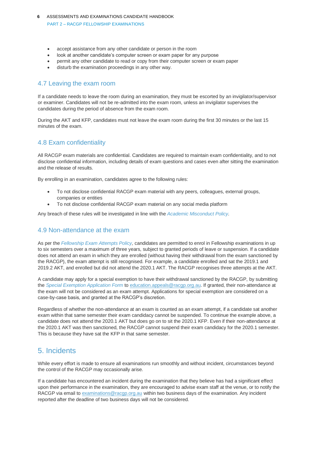- accept assistance from any other candidate or person in the room
- look at another candidate's computer screen or exam paper for any purpose
- permit any other candidate to read or copy from their computer screen or exam paper
- disturb the examination proceedings in any other way.

### 4.7 Leaving the exam room

If a candidate needs to leave the room during an examination, they must be escorted by an invigilator/supervisor or examiner. Candidates will not be re-admitted into the exam room, unless an invigilator supervises the candidates during the period of absence from the exam room.

During the AKT and KFP, candidates must not leave the exam room during the first 30 minutes or the last 15 minutes of the exam.

# 4.8 Exam confidentiality

All RACGP exam materials are confidential. Candidates are required to maintain exam confidentiality, and to not disclose confidential information, including details of exam questions and cases even after sitting the examination and the release of results.

By enrolling in an examination, candidates agree to the following rules:

- To not disclose confidential RACGP exam material with any peers, colleagues, external groups, companies or entities
- To not disclose confidential RACGP exam material on any social media platform

Any breach of these rules will be investigated in line with the *[Academic Misconduct Policy.](https://www.racgp.org.au/education/registrars/fellowship-pathways/policy-framework/policies/academic-misconduct)*

### 4.9 Non-attendance at the exam

As per the *[Fellowship Exam Attempts Policy,](https://www.racgp.org.au/education/registrars/fellowship-pathways/policy-framework/policies/fellowship-exam-attempts)* candidates are permitted to enrol in Fellowship examinations in up to six semesters over a maximum of three years, subject to granted periods of leave or suspension. If a candidate does not attend an exam in which they are enrolled (without having their withdrawal from the exam sanctioned by the RACGP), the exam attempt is still recognised. For example, a candidate enrolled and sat the 2019.1 and 2019.2 AKT, and enrolled but did not attend the 2020.1 AKT. The RACGP recognises three attempts at the AKT.

A candidate may apply for a special exemption to have their withdrawal sanctioned by the RACGP, by submitting the *[Special Exemption Application Form](https://www.racgp.org.au/FSDEDEV/media/documents/RACGP/Policies/Fellowship/Fellowship%20forms/special-exemption-application-form.pdf)* to [education.appeals@racgp.org.au.](mailto:education.appeals@racgp.org.au) If granted, their non-attendance at the exam will not be considered as an exam attempt. Applications for special exemption are considered on a case-by-case basis, and granted at the RACGP's discretion.

Regardless of whether the non-attendance at an exam is counted as an exam attempt, if a candidate sat another exam within that same semester their exam candidacy cannot be suspended. To continue the example above, a candidate does not attend the 2020.1 AKT but does go on to sit the 2020.1 KFP. Even if their non-attendance at the 2020.1 AKT was then sanctioned, the RACGP cannot suspend their exam candidacy for the 2020.1 semester. This is because they have sat the KFP in that same semester.

# <span id="page-9-0"></span>5. Incidents

While every effort is made to ensure all examinations run smoothly and without incident, circumstances beyond the control of the RACGP may occasionally arise.

If a candidate has encountered an incident during the examination that they believe has had a significant effect upon their performance in the examination, they are encouraged to advise exam staff at the venue, or to notify the RACGP via email to [examinations@racgp.org.au](mailto:examinations@racgp.org.au) within two business days of the examination. Any incident reported after the deadline of two business days will not be considered.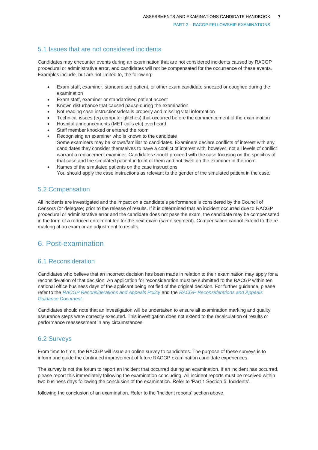# 5.1 Issues that are not considered incidents

Candidates may encounter events during an examination that are not considered incidents caused by RACGP procedural or administrative error, and candidates will not be compensated for the occurrence of these events. Examples include, but are not limited to, the following:

- Exam staff, examiner, standardised patient, or other exam candidate sneezed or coughed during the examination
- Exam staff, examiner or standardised patient accent
- Known disturbance that caused pause during the examination
- Not reading case instructions/details properly and missing vital information
- Technical issues (eg computer glitches) that occurred before the commencement of the examination
- Hospital announcements (MET calls etc) overheard
- Staff member knocked or entered the room
- Recognising an examiner who is known to the candidate Some examiners may be known/familiar to candidates. Examiners declare conflicts of interest with any candidates they consider themselves to have a conflict of interest with; however, not all levels of conflict warrant a replacement examiner. Candidates should proceed with the case focusing on the specifics of that case and the simulated patient in front of them and not dwell on the examiner in the room.
- Names of the simulated patients on the case instructions You should apply the case instructions as relevant to the gender of the simulated patient in the case.

# 5.2 Compensation

All incidents are investigated and the impact on a candidate's performance is considered by the Council of Censors (or delegate) prior to the release of results. If it is determined that an incident occurred due to RACGP procedural or administrative error and the candidate does not pass the exam, the candidate may be compensated in the form of a reduced enrolment fee for the next exam (same segment). Compensation cannot extend to the remarking of an exam or an adjustment to results.

# <span id="page-10-0"></span>6. Post-examination

### 6.1 Reconsideration

Candidates who believe that an incorrect decision has been made in relation to their examination may apply for a reconsideration of that decision. An application for reconsideration must be submitted to the RACGP within ten national office business days of the applicant being notified of the original decision. For further guidance, please refer to the *[RACGP Reconsiderations and Appeals Policy](https://www.racgp.org.au/education/registrars/fellowship-pathways/policy-framework/policies/reconsiderations-and-appeals)* and the *[RACGP Reconsiderations and Appeals](https://www.racgp.org.au/education/registrars/fellowship-pathways/policy-framework/guidance-documents/reconsiderations-and-appeals)  [Guidance Document.](https://www.racgp.org.au/education/registrars/fellowship-pathways/policy-framework/guidance-documents/reconsiderations-and-appeals)*

Candidates should note that an investigation will be undertaken to ensure all examination marking and quality assurance steps were correctly executed. This investigation does not extend to the recalculation of results or performance reassessment in any circumstances.

# 6.2 Surveys

From time to time, the RACGP will issue an online survey to candidates. The purpose of these surveys is to inform and guide the continued improvement of future RACGP examination candidate experiences.

The survey is not the forum to report an incident that occurred during an examination. If an incident has occurred, please report this immediately following the examination concluding. All incident reports must be received within two business days following the conclusion of the examination. Refer to 'Part 1 Section 5: Incidents'.

following the conclusion of an examination. Refer to the 'Incident reports' section above.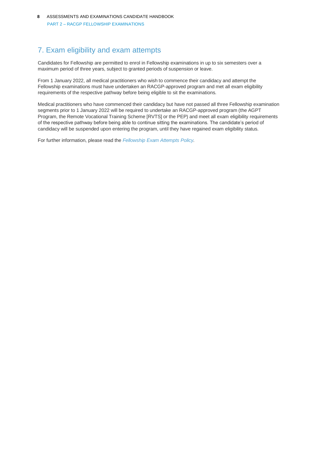# <span id="page-11-0"></span>7. Exam eligibility and exam attempts

Candidates for Fellowship are permitted to enrol in Fellowship examinations in up to six semesters over a maximum period of three years, subject to granted periods of suspension or leave.

From 1 January 2022, all medical practitioners who wish to commence their candidacy and attempt the Fellowship examinations must have undertaken an RACGP-approved program and met all exam eligibility requirements of the respective pathway before being eligible to sit the examinations.

Medical practitioners who have commenced their candidacy but have not passed all three Fellowship examination segments prior to 1 January 2022 will be required to undertake an RACGP-approved program (the AGPT Program, the Remote Vocational Training Scheme [RVTS] or the PEP) and meet all exam eligibility requirements of the respective pathway before being able to continue sitting the examinations. The candidate's period of candidacy will be suspended upon entering the program, until they have regained exam eligibility status.

For further information, please read the *[Fellowship Exam Attempts Policy.](https://www.racgp.org.au/education/registrars/fellowship-pathways/policy-framework/policies/fellowship-exam-attempts)*